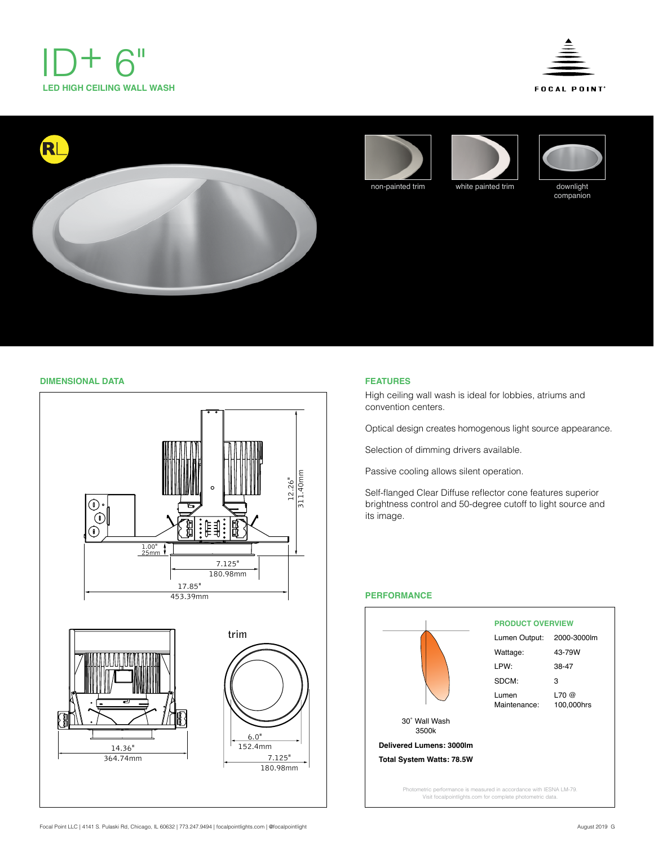











companion

# **DIMENSIONAL DATA FEATURES**



High ceiling wall wash is ideal for lobbies, atriums and convention centers.

Optical design creates homogenous light source appearance.

Selection of dimming drivers available.

Passive cooling allows silent operation.

Self-flanged Clear Diffuse reflector cone features superior brightness control and 50-degree cutoff to light source and its image.



## **PERFORMANCE**